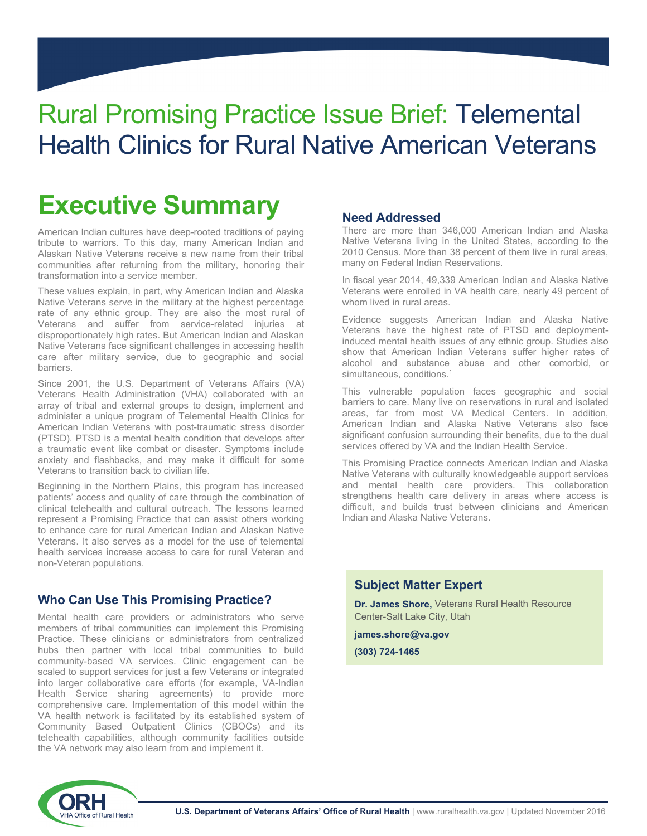## Rural Promising Practice Issue Brief: Telemental Health Clinics for Rural Native American Veterans

## **Executive Summary**

American Indian cultures have deep-rooted traditions of paying tribute to warriors. To this day, many American Indian and Alaskan Native Veterans receive a new name from their tribal communities after returning from the military, honoring their transformation into a service member.

These values explain, in part, why American Indian and Alaska Native Veterans serve in the military at the highest percentage rate of any ethnic group. They are also the most rural of Veterans and suffer from service-related injuries at disproportionately high rates. But American Indian and Alaskan Native Veterans face significant challenges in accessing health care after military service, due to geographic and social barriers.

Since 2001, the U.S. Department of Veterans Affairs (VA) Veterans Health Administration (VHA) collaborated with an array of tribal and external groups to design, implement and administer a unique program of Telemental Health Clinics for American Indian Veterans with post-traumatic stress disorder (PTSD). PTSD is a mental health condition that develops after a traumatic event like combat or disaster. Symptoms include anxiety and flashbacks, and may make it difficult for some Veterans to transition back to civilian life.

Beginning in the Northern Plains, this program has increased patients' access and quality of care through the combination of clinical telehealth and cultural outreach. The lessons learned represent a Promising Practice that can assist others working to enhance care for rural American Indian and Alaskan Native Veterans. It also serves as a model for the use of telemental health services increase access to care for rural Veteran and non-Veteran populations.

### **Who Can Use This Promising Practice?**

Mental health care providers or administrators who serve members of tribal communities can implement this Promising Practice. These clinicians or administrators from centralized hubs then partner with local tribal communities to build community-based VA services. Clinic engagement can be scaled to support services for just a few Veterans or integrated into larger collaborative care efforts (for example, VA-Indian Health Service sharing agreements) to provide more comprehensive care. Implementation of this model within the VA health network is facilitated by its established system of Community Based Outpatient Clinics (CBOCs) and its telehealth capabilities, although community facilities outside the VA network may also learn from and implement it.

### **Need Addressed**

There are more than 346,000 American Indian and Alaska Native Veterans living in the United States, according to the 2010 Census. More than 38 percent of them live in rural areas, many on Federal Indian Reservations.

In fiscal year 2014, 49,339 American Indian and Alaska Native Veterans were enrolled in VA health care, nearly 49 percent of whom lived in rural areas.

Evidence suggests American Indian and Alaska Native Veterans have the highest rate of PTSD and deploymentinduced mental health issues of any ethnic group. Studies also show that American Indian Veterans suffer higher rates of alcohol and substance abuse and other comorbid, or simultaneous, conditions.<sup>1</sup>

This vulnerable population faces geographic and social barriers to care. Many live on reservations in rural and isolated areas, far from most VA Medical Centers. In addition, American Indian and Alaska Native Veterans also face significant confusion surrounding their benefits, due to the dual services offered by VA and the Indian Health Service.

This Promising Practice connects American Indian and Alaska Native Veterans with culturally knowledgeable support services and mental health care providers. This collaboration strengthens health care delivery in areas where access is difficult, and builds trust between clinicians and American Indian and Alaska Native Veterans.

### **Subject Matter Expert**

**Dr. James Shore,** Veterans Rural Health Resource Center-Salt Lake City, Utah

**james.shore@va.gov** 

**(303) 724-1465**

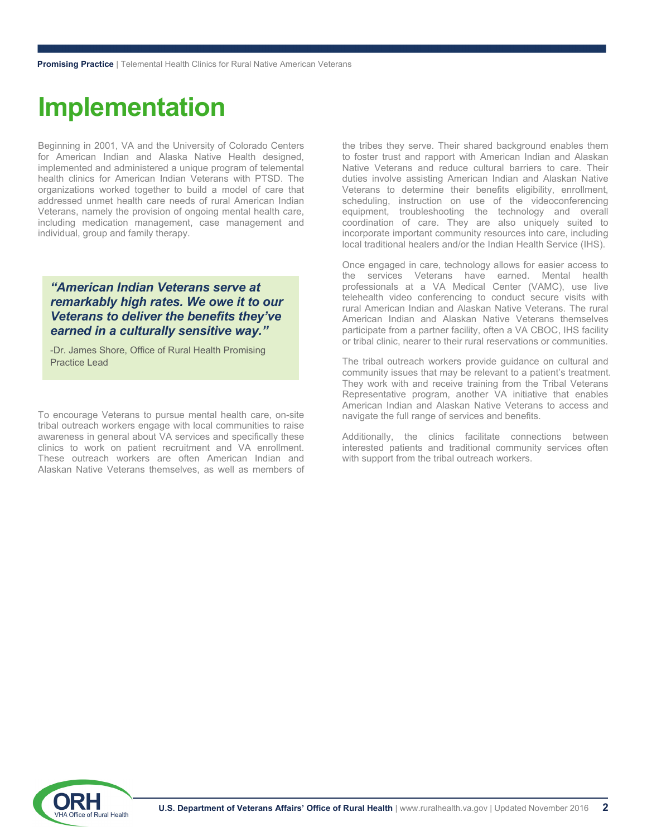## **Implementation**

Beginning in 2001, VA and the University of Colorado Centers for American Indian and Alaska Native Health designed, implemented and administered a unique program of telemental health clinics for American Indian Veterans with PTSD. The organizations worked together to build a model of care that addressed unmet health care needs of rural American Indian Veterans, namely the provision of ongoing mental health care, including medication management, case management and individual, group and family therapy.

### *"American Indian Veterans serve at remarkably high rates. We owe it to our Veterans to deliver the benefits they've earned in a culturally sensitive way."*

-Dr. James Shore, Office of Rural Health Promising Practice Lead

To encourage Veterans to pursue mental health care, on-site tribal outreach workers engage with local communities to raise awareness in general about VA services and specifically these clinics to work on patient recruitment and VA enrollment. These outreach workers are often American Indian and Alaskan Native Veterans themselves, as well as members of the tribes they serve. Their shared background enables them to foster trust and rapport with American Indian and Alaskan Native Veterans and reduce cultural barriers to care. Their duties involve assisting American Indian and Alaskan Native Veterans to determine their benefits eligibility, enrollment, scheduling, instruction on use of the videoconferencing equipment, troubleshooting the technology and overall coordination of care. They are also uniquely suited to incorporate important community resources into care, including local traditional healers and/or the Indian Health Service (IHS).

Once engaged in care, technology allows for easier access to the services Veterans have earned. Mental health professionals at a VA Medical Center (VAMC), use live telehealth video conferencing to conduct secure visits with rural American Indian and Alaskan Native Veterans. The rural American Indian and Alaskan Native Veterans themselves participate from a partner facility, often a VA CBOC, IHS facility or tribal clinic, nearer to their rural reservations or communities.

The tribal outreach workers provide guidance on cultural and community issues that may be relevant to a patient's treatment. They work with and receive training from the Tribal Veterans Representative program, another VA initiative that enables American Indian and Alaskan Native Veterans to access and navigate the full range of services and benefits.

Additionally, the clinics facilitate connections between interested patients and traditional community services often with support from the tribal outreach workers.

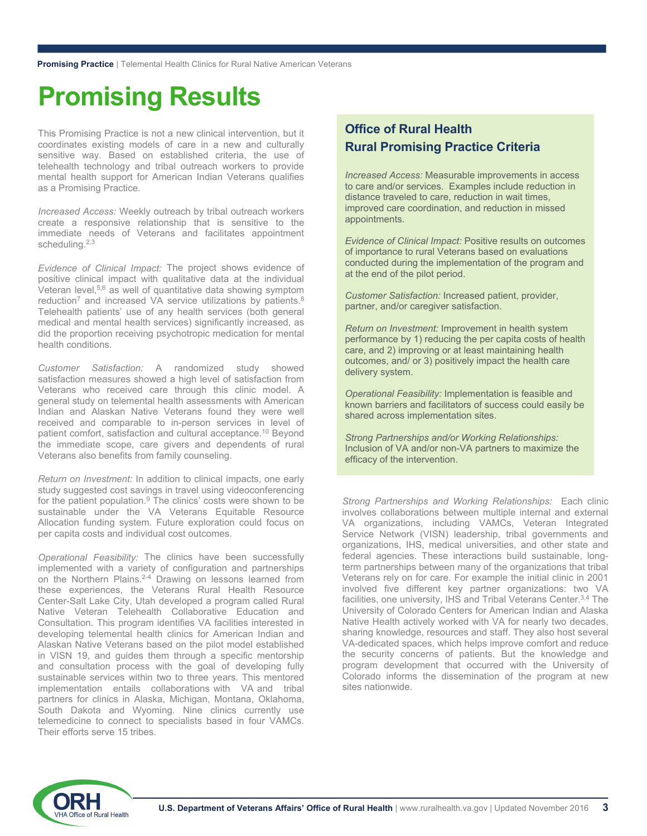## **Promising Results**

This Promising Practice is not a new clinical intervention, but it coordinates existing models of care in a new and culturally sensitive way. Based on established criteria, the use of telehealth technology and tribal outreach workers to provide mental health support for American Indian Veterans qualifies as a Promising Practice.

*Increased Access:* Weekly outreach by tribal outreach workers create a responsive relationship that is sensitive to the immediate needs of Veterans and facilitates appointment scheduling.<sup>2,3</sup>

*Evidence of Clinical Impact:* The project shows evidence of positive clinical impact with qualitative data at the individual Veteran level,5,6 as well of quantitative data showing symptom reduction<sup>7</sup> and increased VA service utilizations by patients.<sup>8</sup> Telehealth patients' use of any health services (both general medical and mental health services) significantly increased, as did the proportion receiving psychotropic medication for mental health conditions.

*Customer Satisfaction:* A randomized study showed satisfaction measures showed a high level of satisfaction from Veterans who received care through this clinic model. A general study on telemental health assessments with American Indian and Alaskan Native Veterans found they were well received and comparable to in-person services in level of patient comfort, satisfaction and cultural acceptance.10 Beyond the immediate scope, care givers and dependents of rural Veterans also benefits from family counseling.

*Return on Investment:* In addition to clinical impacts, one early study suggested cost savings in travel using videoconferencing for the patient population.<sup>9</sup> The clinics' costs were shown to be sustainable under the VA Veterans Equitable Resource Allocation funding system. Future exploration could focus on per capita costs and individual cost outcomes.

*Operational Feasibility:* The clinics have been successfully implemented with a variety of configuration and partnerships on the Northern Plains.<sup>2-4</sup> Drawing on lessons learned from these experiences, the Veterans Rural Health Resource Center-Salt Lake City, Utah developed a program called Rural Native Veteran Telehealth Collaborative Education and Consultation. This program identifies VA facilities interested in developing telemental health clinics for American Indian and Alaskan Native Veterans based on the pilot model established in VISN 19, and guides them through a specific mentorship and consultation process with the goal of developing fully sustainable services within two to three years. This mentored implementation entails collaborations with VA and tribal partners for clinics in Alaska, Michigan, Montana, Oklahoma, South Dakota and Wyoming. Nine clinics currently use telemedicine to connect to specialists based in four VAMCs. Their efforts serve 15 tribes.

### **Office of Rural Health Rural Promising Practice Criteria**

*Increased Access:* Measurable improvements in access to care and/or services. Examples include reduction in distance traveled to care, reduction in wait times, improved care coordination, and reduction in missed appointments.

*Evidence of Clinical Impact:* Positive results on outcomes of importance to rural Veterans based on evaluations conducted during the implementation of the program and at the end of the pilot period.

*Customer Satisfaction:* Increased patient, provider, partner, and/or caregiver satisfaction.

*Return on Investment:* Improvement in health system performance by 1) reducing the per capita costs of health care, and 2) improving or at least maintaining health outcomes, and/ or 3) positively impact the health care delivery system.

*Operational Feasibility:* Implementation is feasible and known barriers and facilitators of success could easily be shared across implementation sites.

*Strong Partnerships and/or Working Relationships:* Inclusion of VA and/or non-VA partners to maximize the efficacy of the intervention.

*Strong Partnerships and Working Relationships:* Each clinic involves collaborations between multiple internal and external VA organizations, including VAMCs, Veteran Integrated Service Network (VISN) leadership, tribal governments and organizations, IHS, medical universities, and other state and federal agencies. These interactions build sustainable, longterm partnerships between many of the organizations that tribal Veterans rely on for care. For example the initial clinic in 2001 involved five different key partner organizations: two VA facilities, one university, IHS and Tribal Veterans Center.<sup>3,4</sup> The University of Colorado Centers for American Indian and Alaska Native Health actively worked with VA for nearly two decades, sharing knowledge, resources and staff. They also host several VA-dedicated spaces, which helps improve comfort and reduce the security concerns of patients. But the knowledge and program development that occurred with the University of Colorado informs the dissemination of the program at new sites nationwide.

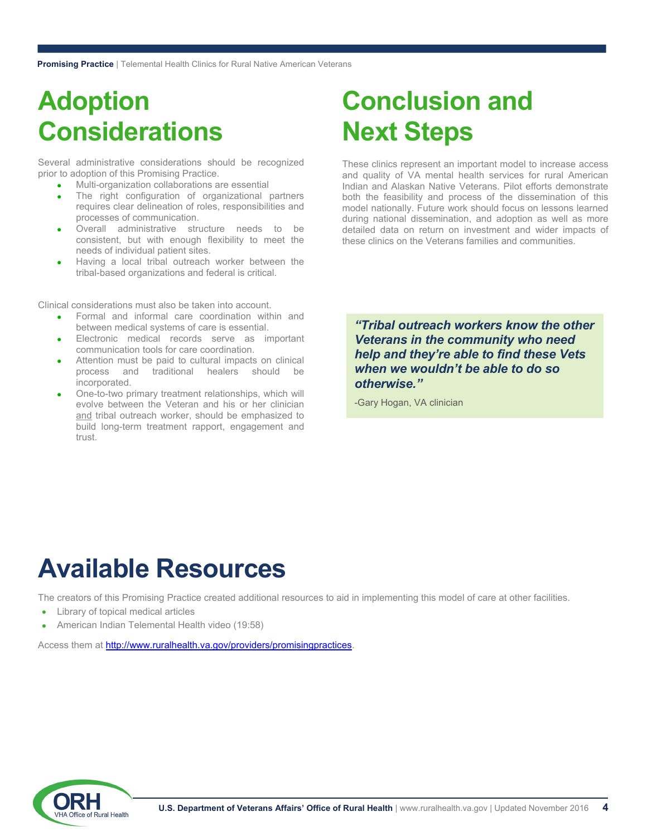# **Adoption Considerations**

Several administrative considerations should be recognized prior to adoption of this Promising Practice.

- Multi-organization collaborations are essential  $\bullet$
- The right configuration of organizational partners requires clear delineation of roles, responsibilities and processes of communication.  $\bullet$
- Overall administrative structure needs to be consistent, but with enough flexibility to meet the needs of individual patient sites.  $\bullet$
- Having a local tribal outreach worker between the tribal-based organizations and federal is critical.  $\bullet$

Clinical considerations must also be taken into account.

- Formal and informal care coordination within and between medical systems of care is essential.  $\bullet$
- Electronic medical records serve as important communication tools for care coordination.  $\bullet$
- Attention must be paid to cultural impacts on clinical process and traditional healers should be incorporated.  $\bullet$
- One-to-two primary treatment relationships, which will evolve between the Veteran and his or her clinician and tribal outreach worker, should be emphasized to build long-term treatment rapport, engagement and trust.  $\bullet$

# **Conclusion and Next Steps**

These clinics represent an important model to increase access and quality of VA mental health services for rural American Indian and Alaskan Native Veterans. Pilot efforts demonstrate both the feasibility and process of the dissemination of this model nationally. Future work should focus on lessons learned during national dissemination, and adoption as well as more detailed data on return on investment and wider impacts of these clinics on the Veterans families and communities.

*"Tribal outreach workers know the other Veterans in the community who need help and they're able to find these Vets when we wouldn't be able to do so otherwise."* 

-Gary Hogan, VA clinician

# **Available Resources**

The creators of this Promising Practice created additional resources to aid in implementing this model of care at other facilities.

- Library of topical medical articles  $\bullet$
- American Indian Telemental Health video (19:58)  $\bullet$

Access them at http://www.ruralhealth.va.gov/providers/promisingpractices.

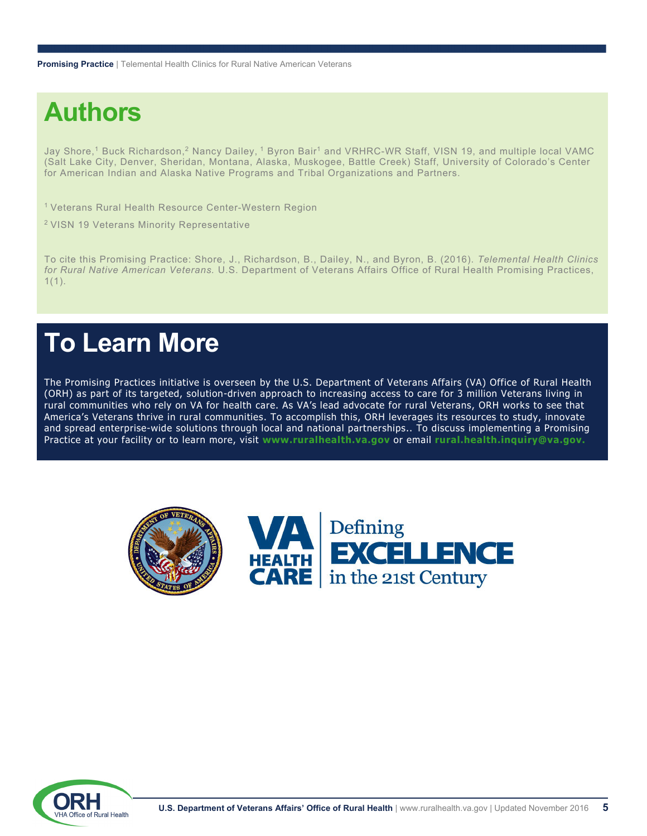**Promising Practice** | Telemental Health Clinics for Rural Native American Veterans

# **Authors**

Jay Shore,<sup>1</sup> Buck Richardson,<sup>2</sup> Nancy Dailey, <sup>1</sup> Byron Bair<sup>1</sup> and VRHRC-WR Staff, VISN 19, and multiple local VAMC (Salt Lake City, Denver, Sheridan, Montana, Alaska, Muskogee, Battle Creek) Staff, University of Colorado's Center for American Indian and Alaska Native Programs and Tribal Organizations and Partners.

1 Veterans Rural Health Resource Center-Western Region

2 VISN 19 Veterans Minority Representative

To cite this Promising Practice: Shore, J., Richardson, B., Dailey, N., and Byron, B. (2016). *Telemental Health Clinics for Rural Native American Veterans.* U.S. Department of Veterans Affairs Office of Rural Health Promising Practices,  $1(1)$ .

## **To Learn More**

The Promising Practices initiative is overseen by the U.S. Department of Veterans Affairs (VA) Office of Rural Health (ORH) as part of its targeted, solution-driven approach to increasing access to care for 3 million Veterans living in rural communities who rely on VA for health care. As VA's lead advocate for rural Veterans, ORH works to see that America's Veterans thrive in rural communities. To accomplish this, ORH leverages its resources to study, innovate and spread enterprise-wide solutions through local and national partnerships.. To discuss implementing a Promising Practice at your facility or to learn more, visit **www.ruralhealth.va.gov** or email **rural.health.inquiry@va.gov.**